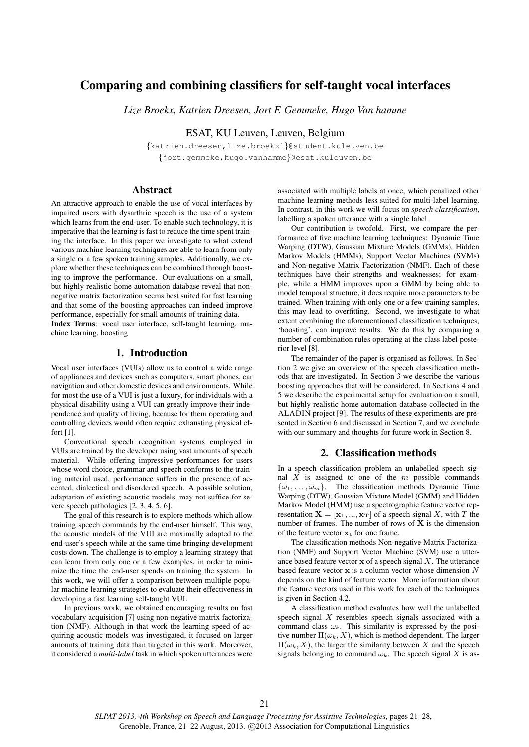# Comparing and combining classifiers for self-taught vocal interfaces

*Lize Broekx, Katrien Dreesen, Jort F. Gemmeke, Hugo Van hamme*

ESAT, KU Leuven, Leuven, Belgium

{katrien.dreesen,lize.broekx1}@student.kuleuven.be {jort.gemmeke,hugo.vanhamme}@esat.kuleuven.be

# Abstract

An attractive approach to enable the use of vocal interfaces by impaired users with dysarthric speech is the use of a system which learns from the end-user. To enable such technology, it is imperative that the learning is fast to reduce the time spent training the interface. In this paper we investigate to what extend various machine learning techniques are able to learn from only a single or a few spoken training samples. Additionally, we explore whether these techniques can be combined through boosting to improve the performance. Our evaluations on a small, but highly realistic home automation database reveal that nonnegative matrix factorization seems best suited for fast learning and that some of the boosting approaches can indeed improve performance, especially for small amounts of training data. Index Terms: vocal user interface, self-taught learning, ma-

### 1. Introduction

chine learning, boosting

Vocal user interfaces (VUIs) allow us to control a wide range of appliances and devices such as computers, smart phones, car navigation and other domestic devices and environments. While for most the use of a VUI is just a luxury, for individuals with a physical disability using a VUI can greatly improve their independence and quality of living, because for them operating and controlling devices would often require exhausting physical effort [1].

Conventional speech recognition systems employed in VUIs are trained by the developer using vast amounts of speech material. While offering impressive performances for users whose word choice, grammar and speech conforms to the training material used, performance suffers in the presence of accented, dialectical and disordered speech. A possible solution, adaptation of existing acoustic models, may not suffice for severe speech pathologies [2, 3, 4, 5, 6].

The goal of this research is to explore methods which allow training speech commands by the end-user himself. This way, the acoustic models of the VUI are maximally adapted to the end-user's speech while at the same time bringing development costs down. The challenge is to employ a learning strategy that can learn from only one or a few examples, in order to minimize the time the end-user spends on training the system. In this work, we will offer a comparison between multiple popular machine learning strategies to evaluate their effectiveness in developing a fast learning self-taught VUI.

In previous work, we obtained encouraging results on fast vocabulary acquisition [7] using non-negative matrix factorization (NMF). Although in that work the learning speed of acquiring acoustic models was investigated, it focused on larger amounts of training data than targeted in this work. Moreover, it considered a *multi-label* task in which spoken utterances were

associated with multiple labels at once, which penalized other machine learning methods less suited for multi-label learning. In contrast, in this work we will focus on *speech classification*, labelling a spoken utterance with a single label.

Our contribution is twofold. First, we compare the performance of five machine learning techniques: Dynamic Time Warping (DTW), Gaussian Mixture Models (GMMs), Hidden Markov Models (HMMs), Support Vector Machines (SVMs) and Non-negative Matrix Factorization (NMF). Each of these techniques have their strengths and weaknesses; for example, while a HMM improves upon a GMM by being able to model temporal structure, it does require more parameters to be trained. When training with only one or a few training samples, this may lead to overfitting. Second, we investigate to what extent combining the aforementioned classification techniques, 'boosting', can improve results. We do this by comparing a number of combination rules operating at the class label posterior level [8].

The remainder of the paper is organised as follows. In Section 2 we give an overview of the speech classification methods that are investigated. In Section 3 we describe the various boosting approaches that will be considered. In Sections 4 and 5 we describe the experimental setup for evaluation on a small, but highly realistic home automation database collected in the ALADIN project [9]. The results of these experiments are presented in Section 6 and discussed in Section 7, and we conclude with our summary and thoughts for future work in Section 8.

### 2. Classification methods

In a speech classification problem an unlabelled speech signal  $X$  is assigned to one of the  $m$  possible commands  $\{\omega_1, \ldots, \omega_m\}$ . The classification methods Dynamic Time Warping (DTW), Gaussian Mixture Model (GMM) and Hidden Markov Model (HMM) use a spectrographic feature vector representation  $X = [\mathbf{x}_1, ..., \mathbf{x}_T]$  of a speech signal X, with T the number of frames. The number of rows of  $X$  is the dimension of the feature vector  $x_t$  for one frame.

The classification methods Non-negative Matrix Factorization (NMF) and Support Vector Machine (SVM) use a utterance based feature vector  $x$  of a speech signal  $X$ . The utterance based feature vector  $x$  is a column vector whose dimension  $N$ depends on the kind of feature vector. More information about the feature vectors used in this work for each of the techniques is given in Section 4.2.

A classification method evaluates how well the unlabelled speech signal  $X$  resembles speech signals associated with a command class  $\omega_k$ . This similarity is expressed by the positive number  $\Pi(\omega_k, X)$ , which is method dependent. The larger  $\Pi(\omega_k, X)$ , the larger the similarity between X and the speech signals belonging to command  $\omega_k$ . The speech signal X is as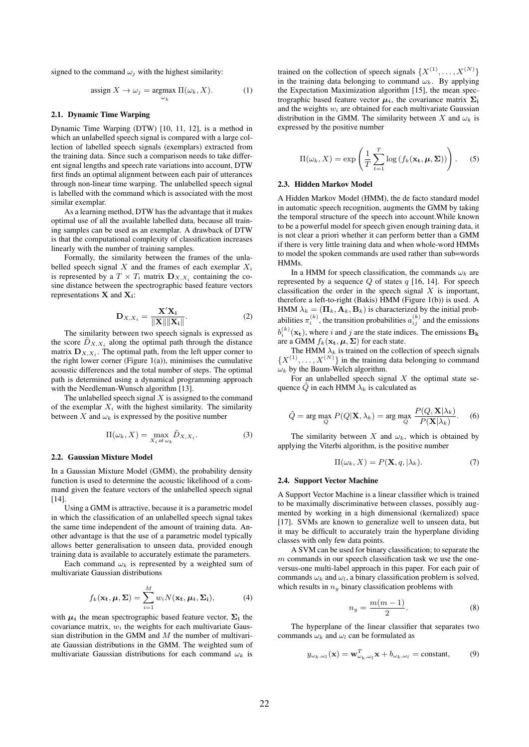signed to the command  $\omega_i$  with the highest similarity:

$$
\operatorname{assign} X \to \omega_j = \operatorname{argmax}_{\omega_k} \Pi(\omega_k, X). \tag{1}
$$

#### 2.1. Dynamic Time Warping

Dynamic Time Warping (DTW) [10, 11, 12], is a method in which an unlabelled speech signal is compared with a large collection of labelled speech signals (exemplars) extracted from the training data. Since such a comparison needs to take different signal lengths and speech rate variations into account, DTW first finds an optimal alignment between each pair of utterances through non-linear time warping. The unlabelled speech signal is labelled with the command which is associated with the most similar exemplar.

As a learning method, DTW has the advantage that it makes optimal use of all the available labelled data, because all training samples can be used as an exemplar. A drawback of DTW is that the computational complexity of classification increases linearly with the number of training samples.

Formally, the similarity between the frames of the unlabelled speech signal  $X$  and the frames of each exemplar  $X_i$ is represented by a  $T \times T_i$  matrix  $\mathbf{D}_{X,X_i}$  containing the cosine distance between the spectrographic based feature vectors representations  $X$  and  $X_i$ :

$$
\mathbf{D}_{X,X_i} = \frac{\mathbf{X}'\mathbf{X_i}}{\|\mathbf{X}\|\|\mathbf{X_i}\|}.
$$
 (2)

The similarity between two speech signals is expressed as the score  $\tilde{D}_{X,X_i}$  along the optimal path through the distance matrix  $\mathbf{D}_{X,X_i}$ . The optimal path, from the left upper corner to the right lower corner (Figure  $1(a)$ ), minimises the cumulative acoustic differences and the total number of steps. The optimal path is determined using a dynamical programming approach with the Needleman-Wunsch algorithm [13].

The unlabelled speech signal  $X$  is assigned to the command of the exemplar  $X_i$  with the highest similarity. The similarity between X and  $\omega_k$  is expressed by the positive number

$$
\Pi(\omega_k, X) = \max_{X_i \text{ of } \omega_k} \tilde{D}_{X, X_i}.
$$
 (3)

#### 2.2. Gaussian Mixture Model

In a Gaussian Mixture Model (GMM), the probability density function is used to determine the acoustic likelihood of a command given the feature vectors of the unlabelled speech signal [14].

Using a GMM is attractive, because it is a parametric model in which the classification of an unlabelled speech signal takes the same time independent of the amount of training data. Another advantage is that the use of a parametric model typically allows better generalisation to unseen data, provided enough training data is available to accurately estimate the parameters.

Each command  $\omega_k$  is represented by a weighted sum of multivariate Gaussian distributions

$$
f_k(\mathbf{x_t}, \boldsymbol{\mu}, \boldsymbol{\Sigma}) = \sum_{i=1}^{M} w_i N(\mathbf{x_t}, \boldsymbol{\mu_i}, \boldsymbol{\Sigma_i}),
$$
 (4)

with  $\mu_i$  the mean spectrographic based feature vector,  $\Sigma_i$  the covariance matrix,  $w_i$  the weights for each multivariate Gaussian distribution in the GMM and  $M$  the number of multivariate Gaussian distributions in the GMM. The weighted sum of multivariate Gaussian distributions for each command  $\omega_k$  is

trained on the collection of speech signals  $\{X^{(1)}, \ldots, X^{(N)}\}$ in the training data belonging to command  $\omega_k$ . By applying the Expectation Maximization algorithm [15], the mean spectrographic based feature vector  $\mu_i$ , the covariance matrix  $\Sigma_i$ and the weights  $w_i$  are obtained for each multivariate Gaussian distribution in the GMM. The similarity between X and  $\omega_k$  is expressed by the positive number

$$
\Pi(\omega_k, X) = \exp\left(\frac{1}{T} \sum_{t=1}^T \log(f_k(\mathbf{x_t}, \boldsymbol{\mu}, \boldsymbol{\Sigma}))\right).
$$
 (5)

#### 2.3. Hidden Markov Model

A Hidden Markov Model (HMM), the de facto standard model in automatic speech recognition, augments the GMM by taking the temporal structure of the speech into account.While known to be a powerful model for speech given enough training data, it is not clear a priori whether it can perform better than a GMM if there is very little training data and when whole-word HMMs to model the spoken commands are used rather than sub=words HMMs.

In a HMM for speech classification, the commands  $\omega_k$  are represented by a sequence  $Q$  of states  $q$  [16, 14]. For speech classification the order in the speech signal  $X$  is important, therefore a left-to-right (Bakis) HMM (Figure 1(b)) is used. A HMM  $\lambda_k = (\mathbf{\Pi}_k, \mathbf{A}_k, \mathbf{B}_k)$  is characterized by the initial probabilities  $\pi_i^{(k)}$ , the transition probabilities  $a_{ij}^{(k)}$  and the emissions  $b_i^{(k)}(\mathbf{x_t})$ , where i and j are the state indices. The emissions  $\mathbf{B_k}$ are a GMM  $f_k(\mathbf{x_t}, \boldsymbol{\mu}, \boldsymbol{\Sigma})$  for each state.

The HMM  $\lambda_k$  is trained on the collection of speech signals  $\{X^{(1)}, \ldots, X^{(N)}\}$  in the training data belonging to command  $\omega_k$  by the Baum-Welch algorithm.

For an unlabelled speech signal  $X$  the optimal state sequence  $\overline{Q}$  in each HMM  $\lambda_k$  is calculated as

$$
\tilde{Q} = \arg \max_{Q} P(Q|\mathbf{X}, \lambda_k) = \arg \max_{Q} \frac{P(Q, \mathbf{X}|\lambda_k)}{P(\mathbf{X}|\lambda_k)}.
$$
 (6)

The similarity between X and  $\omega_k$ , which is obtained by applying the Viterbi algorithm, is the positive number

$$
\Pi(\omega_k, X) = P(\mathbf{X}, q, |\lambda_k). \tag{7}
$$

#### 2.4. Support Vector Machine

A Support Vector Machine is a linear classifier which is trained to be maximally discriminative between classes, possibly augmented by working in a high dimensional (kernalized) space [17]. SVMs are known to generalize well to unseen data, but it may be difficult to accurately train the hyperplane dividing classes with only few data points.

A SVM can be used for binary classification; to separate the  $m$  commands in our speech classification task we use the oneversus-one multi-label approach in this paper. For each pair of commands  $\omega_k$  and  $\omega_l$ , a binary classification problem is solved, which results in  $n_y$  binary classification problems with

$$
n_y = \frac{m(m-1)}{2}.\tag{8}
$$

The hyperplane of the linear classifier that separates two commands  $\omega_k$  and  $\omega_l$  can be formulated as

$$
y_{\omega_k,\omega_l}(\mathbf{x}) = \mathbf{w}_{\omega_k,\omega_l}^T \mathbf{x} + b_{\omega_k,\omega_l} = \text{constant},\qquad(9)
$$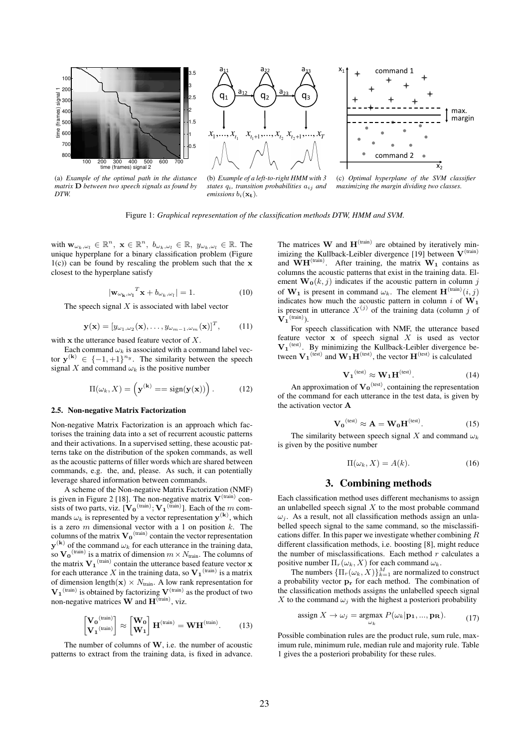

(a) *Example of the optimal path in the distance matrix* D *between two speech signals as found by DTW.*

(b) *Example of a left-to-right HMM with 3 states* qi*, transition probabilities* aij *and emissions*  $b_i(\mathbf{x_t})$ *.* 

(c) *Optimal hyperplane of the SVM classifier maximizing the margin dividing two classes.*

Figure 1: *Graphical representation of the classification methods DTW, HMM and SVM.*

with  $\mathbf{w}_{\omega_k,\omega_l} \in \mathbb{R}^n$ ,  $\mathbf{x} \in \mathbb{R}^n$ ,  $b_{\omega_k,\omega_l} \in \mathbb{R}$ ,  $y_{\omega_k,\omega_l} \in \mathbb{R}$ . The unique hyperplane for a binary classification problem (Figure  $1(c)$  can be found by rescaling the problem such that the x closest to the hyperplane satisfy

$$
|\mathbf{w}_{\omega_{\mathbf{k}},\omega_{\mathbf{l}}}^{T}\mathbf{x}+b_{\omega_{k},\omega_{l}}|=1.
$$
 (10)

The speech signal  $X$  is associated with label vector

$$
\mathbf{y}(\mathbf{x}) = [y_{\omega_1, \omega_2}(\mathbf{x}), \dots, y_{\omega_{m-1}, \omega_m}(\mathbf{x})]^T, \qquad (11)
$$

with  $x$  the utterance based feature vector of  $X$ .

Each command  $\omega_k$  is associated with a command label vector  $y^{(k)} \in \{-1, +1\}^{n_y}$ . The similarity between the speech signal X and command  $\omega_k$  is the positive number

$$
\Pi(\omega_k, X) = \left(\mathbf{y}^{(\mathbf{k})} = -\operatorname{sign}(\mathbf{y}(\mathbf{x}))\right). \tag{12}
$$

#### 2.5. Non-negative Matrix Factorization

Non-negative Matrix Factorization is an approach which factorises the training data into a set of recurrent acoustic patterns and their activations. In a supervised setting, these acoustic patterns take on the distribution of the spoken commands, as well as the acoustic patterns of filler words which are shared between commands, e.g. the, and, please. As such, it can potentially leverage shared information between commands.

A scheme of the Non-negative Matrix Factorization (NMF) is given in Figure 2 [18]. The non-negative matrix  $V^{(train)}$  consists of two parts, viz.  $[\mathbf{V_0}^{(\text{train})}; \mathbf{V_1}^{(\text{train})}]$ . Each of the m commands  $\omega_k$  is represented by a vector representation  $y^{(k)}$ , which is a zero  $m$  dimensional vector with a 1 on position  $k$ . The columns of the matrix  $\mathbf{V_0}^{(\text{train})}$  contain the vector representation  $y^{(k)}$  of the command  $\omega_k$  for each utterance in the training data, so  $\mathbf{V_0}^{(train)}$  is a matrix of dimension  $m \times N_{\text{train}}$ . The columns of the matrix  $V_1^{(train)}$  contain the utterance based feature vector x for each utterance X in the training data, so  $V_1$ <sup>(train)</sup> is a matrix of dimension length( $\mathbf{x}$ ) × N<sub>train</sub>. A low rank representation for  $V_1^{(train)}$  is obtained by factorizing  $V^{(train)}$  as the product of two non-negative matrices **W** and  $\mathbf{H}^{\text{(train)}}$ , viz.

$$
\begin{bmatrix} \mathbf{V_0}^{(\text{train})} \\ \mathbf{V_1}^{(\text{train})} \end{bmatrix} \approx \begin{bmatrix} \mathbf{W_0} \\ \mathbf{W_1} \end{bmatrix} \mathbf{H}^{(\text{train})} = \mathbf{W} \mathbf{H}^{(\text{train})} . \tag{13}
$$

The number of columns of  $W$ , i.e. the number of acoustic patterns to extract from the training data, is fixed in advance.

The matrices **W** and  $\mathbf{H}^{(train)}$  are obtained by iteratively minimizing the Kullback-Leibler divergence [19] between  $V^{(train)}$ and  $WH^{(train)}$ . After training, the matrix  $W_1$  contains as columns the acoustic patterns that exist in the training data. Element  $\mathbf{W}_{0}(k, j)$  indicates if the acoustic pattern in column j of  $W_1$  is present in command  $\omega_k$ . The element  $H^{(train)}(i, j)$ indicates how much the acoustic pattern in column i of  $W_1$ is present in utterance  $X^{(j)}$  of the training data (column j of  $\mathbf{V_{1}}^{(\text{train})}$ ).

For speech classification with NMF, the utterance based feature vector  $x$  of speech signal  $X$  is used as vector  $V_1^{(test)}$ . By minimizing the Kullback-Leibler divergence between  $V_1^{(test)}$  and  $W_1H^{(test)}$ , the vector  $H^{(test)}$  is calculated

$$
\mathbf{V_1}^{\text{(test)}} \approx \mathbf{W_1} \mathbf{H}^{\text{(test)}}.
$$
 (14)

An approximation of  $V_0^{\text{(test)}}$ , containing the representation of the command for each utterance in the test data, is given by the activation vector A

$$
\mathbf{V_0}^{\text{(test)}} \approx \mathbf{A} = \mathbf{W_0} \mathbf{H}^{\text{(test)}}.
$$
 (15)

The similarity between speech signal X and command  $\omega_k$ is given by the positive number

$$
\Pi(\omega_k, X) = A(k). \tag{16}
$$

## 3. Combining methods

Each classification method uses different mechanisms to assign an unlabelled speech signal  $X$  to the most probable command  $\omega_i$ . As a result, not all classification methods assign an unlabelled speech signal to the same command, so the misclassifications differ. In this paper we investigate whether combining  $$ different classification methods, i.e. boosting [8], might reduce the number of misclassifications. Each method  $r$  calculates a positive number  $\Pi_r(\omega_k, X)$  for each command  $\omega_k$ .

The numbers  ${\{\Pi_r(\omega_k, X)\}}_{k=1}^M$  are normalized to construct a probability vector  $\mathbf{p_r}$  for each method. The combination of the classification methods assigns the unlabelled speech signal X to the command  $\omega_i$  with the highest a posteriori probability

assign 
$$
X \to \omega_j = \underset{\omega_k}{\text{argmax}} P(\omega_k | \mathbf{p_1}, ..., \mathbf{p_R}).
$$
 (17)

Possible combination rules are the product rule, sum rule, maximum rule, minimum rule, median rule and majority rule. Table 1 gives the a posteriori probability for these rules.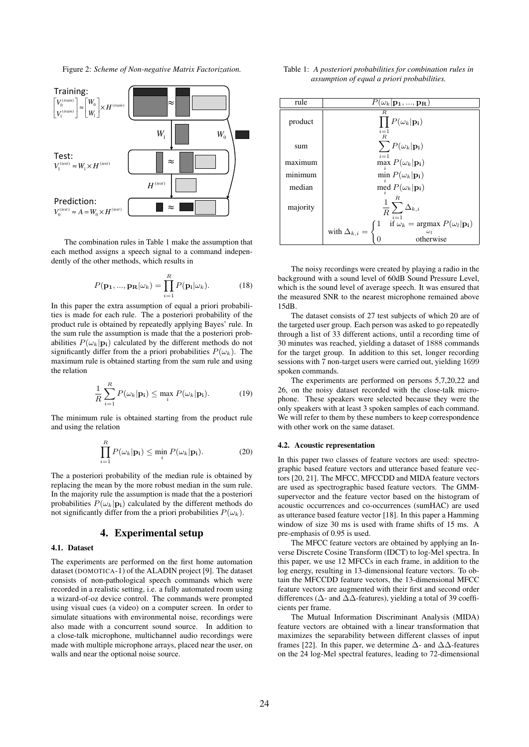Figure 2: *Scheme of Non-negative Matrix Factorization.*



The combination rules in Table 1 make the assumption that each method assigns a speech signal to a command independently of the other methods, which results in

$$
P(\mathbf{p_1}, ..., \mathbf{p_R}|\omega_k) = \prod_{i=1}^R P(\mathbf{p_i}|\omega_k).
$$
 (18)

In this paper the extra assumption of equal a priori probabilities is made for each rule. The a posteriori probability of the product rule is obtained by repeatedly applying Bayes' rule. In the sum rule the assumption is made that the a posteriori probabilities  $P(\omega_k|\mathbf{p_i})$  calculated by the different methods do not significantly differ from the a priori probabilities  $P(\omega_k)$ . The maximum rule is obtained starting from the sum rule and using the relation

$$
\frac{1}{R}\sum_{i=1}^{R}P(\omega_{k}|\mathbf{p_{i}}) \leq \max_{i} P(\omega_{k}|\mathbf{p_{i}}). \tag{19}
$$

The minimum rule is obtained starting from the product rule and using the relation

$$
\prod_{i=1}^{R} P(\omega_k | \mathbf{p_i}) \le \min_{i} P(\omega_k | \mathbf{p_i}). \tag{20}
$$

The a posteriori probability of the median rule is obtained by replacing the mean by the more robust median in the sum rule. In the majority rule the assumption is made that the a posteriori probabilities  $P(\omega_k|\mathbf{p_i})$  calculated by the different methods do not significantly differ from the a priori probabilities  $P(\omega_k)$ .

# 4. Experimental setup

## 4.1. Dataset

The experiments are performed on the first home automation dataset (DOMOTICA-1) of the ALADIN project [9]. The dataset consists of non-pathological speech commands which were recorded in a realistic setting, i.e. a fully automated room using a wizard-of-oz device control. The commands were prompted using visual cues (a video) on a computer screen. In order to simulate situations with environmental noise, recordings were also made with a concurrent sound source. In addition to a close-talk microphone, multichannel audio recordings were made with multiple microphone arrays, placed near the user, on walls and near the optional noise source.

| Table 1: A posteriori probabilities for combination rules in |  |
|--------------------------------------------------------------|--|
| assumption of equal a priori probabilities.                  |  |

| rule     | $P(\omega_k \mathbf{p_1},,\mathbf{p_R})$                                                                    |  |  |  |  |
|----------|-------------------------------------------------------------------------------------------------------------|--|--|--|--|
| product  | R<br>$\prod P(\omega_k \mathbf{p_i})$<br>$i = 1$                                                            |  |  |  |  |
| sum      | $R_{\cdot}$<br>$\sum P(\omega_k \mathbf{p_i})$<br>$i=1$                                                     |  |  |  |  |
| maximum  | max $P(\omega_k \mathbf{p_i})$                                                                              |  |  |  |  |
| minimum  | min $P(\omega_k \mathbf{p_i})$                                                                              |  |  |  |  |
| median   | med $P(\omega_k \mathbf{p_i})$                                                                              |  |  |  |  |
| majority | $\frac{1}{R}\sum_{i=1}^R \Delta_{k,i}$                                                                      |  |  |  |  |
|          | if $\omega_k$ = argmax $P(\omega_l \mathbf{p_i})$<br>Ί.<br>with $\Delta_{k,i} =$<br>$\omega_l$<br>otherwise |  |  |  |  |

The noisy recordings were created by playing a radio in the background with a sound level of 60dB Sound Pressure Level, which is the sound level of average speech. It was ensured that the measured SNR to the nearest microphone remained above 15dB.

The dataset consists of 27 test subjects of which 20 are of the targeted user group. Each person was asked to go repeatedly through a list of 33 different actions, until a recording time of 30 minutes was reached, yielding a dataset of 1888 commands for the target group. In addition to this set, longer recording sessions with 7 non-target users were carried out, yielding 1699 spoken commands.

The experiments are performed on persons 5,7,20,22 and 26, on the noisy dataset recorded with the close-talk microphone. These speakers were selected because they were the only speakers with at least 3 spoken samples of each command. We will refer to them by these numbers to keep correspondence with other work on the same dataset.

### 4.2. Acoustic representation

In this paper two classes of feature vectors are used: spectrographic based feature vectors and utterance based feature vectors [20, 21]. The MFCC, MFCCDD and MIDA feature vectors are used as spectrographic based feature vectors. The GMMsupervector and the feature vector based on the histogram of acoustic occurrences and co-occurrences (sumHAC) are used as utterance based feature vector [18]. In this paper a Hamming window of size 30 ms is used with frame shifts of 15 ms. A pre-emphasis of 0.95 is used.

The MFCC feature vectors are obtained by applying an Inverse Discrete Cosine Transform (IDCT) to log-Mel spectra. In this paper, we use 12 MFCCs in each frame, in addition to the log energy, resulting in 13-dimensional feature vectors. To obtain the MFCCDD feature vectors, the 13-dimensional MFCC feature vectors are augmented with their first and second order differences (∆- and ∆∆-features), yielding a total of 39 coefficients per frame.

The Mutual Information Discriminant Analysis (MIDA) feature vectors are obtained with a linear transformation that maximizes the separability between different classes of input frames [22]. In this paper, we determine  $\Delta$ - and  $\Delta\Delta$ -features on the 24 log-Mel spectral features, leading to 72-dimensional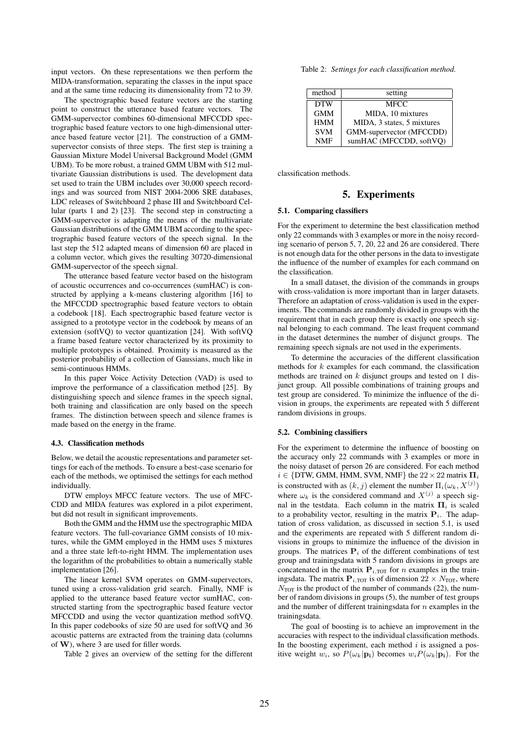input vectors. On these representations we then perform the MIDA-transformation, separating the classes in the input space and at the same time reducing its dimensionality from 72 to 39.

The spectrographic based feature vectors are the starting point to construct the utterance based feature vectors. The GMM-supervector combines 60-dimensional MFCCDD spectrographic based feature vectors to one high-dimensional utterance based feature vector [21]. The construction of a GMMsupervector consists of three steps. The first step is training a Gaussian Mixture Model Universal Background Model (GMM UBM). To be more robust, a trained GMM UBM with 512 multivariate Gaussian distributions is used. The development data set used to train the UBM includes over 30,000 speech recordings and was sourced from NIST 2004-2006 SRE databases, LDC releases of Switchboard 2 phase III and Switchboard Cellular (parts 1 and 2) [23]. The second step in constructing a GMM-supervector is adapting the means of the multivariate Gaussian distributions of the GMM UBM according to the spectrographic based feature vectors of the speech signal. In the last step the 512 adapted means of dimension 60 are placed in a column vector, which gives the resulting 30720-dimensional GMM-supervector of the speech signal.

The utterance based feature vector based on the histogram of acoustic occurrences and co-occurrences (sumHAC) is constructed by applying a k-means clustering algorithm [16] to the MFCCDD spectrographic based feature vectors to obtain a codebook [18]. Each spectrographic based feature vector is assigned to a prototype vector in the codebook by means of an extension (softVQ) to vector quantization [24]. With softVQ a frame based feature vector characterized by its proximity to multiple prototypes is obtained. Proximity is measured as the posterior probability of a collection of Gaussians, much like in semi-continuous HMMs.

In this paper Voice Activity Detection (VAD) is used to improve the performance of a classification method [25]. By distinguishing speech and silence frames in the speech signal, both training and classification are only based on the speech frames. The distinction between speech and silence frames is made based on the energy in the frame.

#### 4.3. Classification methods

Below, we detail the acoustic representations and parameter settings for each of the methods. To ensure a best-case scenario for each of the methods, we optimised the settings for each method individually.

DTW employs MFCC feature vectors. The use of MFC-CDD and MIDA features was explored in a pilot experiment, but did not result in significant improvements.

Both the GMM and the HMM use the spectrographic MIDA feature vectors. The full-covariance GMM consists of 10 mixtures, while the GMM employed in the HMM uses 5 mixtures and a three state left-to-right HMM. The implementation uses the logarithm of the probabilities to obtain a numerically stable implementation [26].

The linear kernel SVM operates on GMM-supervectors, tuned using a cross-validation grid search. Finally, NMF is applied to the utterance based feature vector sumHAC, constructed starting from the spectrographic based feature vector MFCCDD and using the vector quantization method softVQ. In this paper codebooks of size 50 are used for softVQ and 36 acoustic patterns are extracted from the training data (columns of W), where 3 are used for filler words.

Table 2 gives an overview of the setting for the different

Table 2: *Settings for each classification method.*

| method     | setting                    |
|------------|----------------------------|
| <b>DTW</b> | <b>MECC</b>                |
| <b>GMM</b> | MIDA, 10 mixtures          |
| <b>HMM</b> | MIDA, 3 states, 5 mixtures |
| <b>SVM</b> | GMM-supervector (MFCCDD)   |
| <b>NMF</b> | sumHAC (MFCCDD, softVQ)    |

classification methods.

# 5. Experiments

#### 5.1. Comparing classifiers

For the experiment to determine the best classification method only 22 commands with 3 examples or more in the noisy recording scenario of person 5, 7, 20, 22 and 26 are considered. There is not enough data for the other persons in the data to investigate the influence of the number of examples for each command on the classification.

In a small dataset, the division of the commands in groups with cross-validation is more important than in larger datasets. Therefore an adaptation of cross-validation is used in the experiments. The commands are randomly divided in groups with the requirement that in each group there is exactly one speech signal belonging to each command. The least frequent command in the dataset determines the number of disjunct groups. The remaining speech signals are not used in the experiments.

To determine the accuracies of the different classification methods for  $k$  examples for each command, the classification methods are trained on  $k$  disjunct groups and tested on 1 disjunct group. All possible combinations of training groups and test group are considered. To minimize the influence of the division in groups, the experiments are repeated with 5 different random divisions in groups.

#### 5.2. Combining classifiers

For the experiment to determine the influence of boosting on the accuracy only 22 commands with 3 examples or more in the noisy dataset of person 26 are considered. For each method  $i \in \{DTW, GMM, HMM, SVM, NMF\}$  the  $22 \times 22$  matrix  $\Pi_i$ is constructed with as  $(k, j)$  element the number  $\Pi_i(\omega_k, X^{(j)})$ where  $\omega_k$  is the considered command and  $X^{(j)}$  a speech signal in the testdata. Each column in the matrix  $\Pi_i$  is scaled to a probability vector, resulting in the matrix  $P_i$ . The adaptation of cross validation, as discussed in section 5.1, is used and the experiments are repeated with 5 different random divisions in groups to minimize the influence of the division in groups. The matrices  $P_i$  of the different combinations of test group and trainingsdata with 5 random divisions in groups are concatenated in the matrix  $P_{i, \text{TOT}}$  for *n* examples in the trainingsdata. The matrix  $P_{i, \text{TOT}}$  is of dimension  $22 \times N_{\text{TOT}}$ , where  $\overline{N_{\text{TOT}}}$  is the product of the number of commands (22), the number of random divisions in groups (5), the number of test groups and the number of different trainingsdata for  $n$  examples in the trainingsdata.

The goal of boosting is to achieve an improvement in the accuracies with respect to the individual classification methods. In the boosting experiment, each method  $i$  is assigned a positive weight  $w_i$ , so  $P(\omega_k|\mathbf{p_i})$  becomes  $w_iP(\omega_k|\mathbf{p_i})$ . For the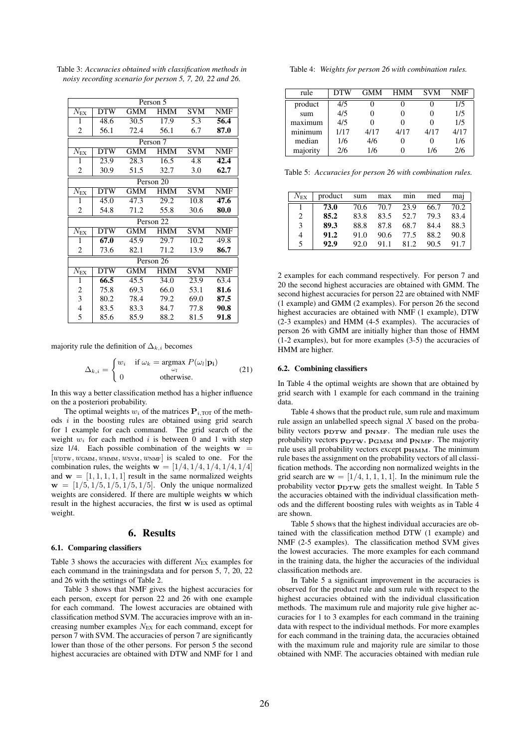Table 3: *Accuracies obtained with classification methods in noisy recording scenario for person 5, 7, 20, 22 and 26.*

| Person 5                   |            |            |            |            |            |  |  |  |
|----------------------------|------------|------------|------------|------------|------------|--|--|--|
| $N_{\rm EX}$               | <b>DTW</b> | <b>GMM</b> | <b>HMM</b> | <b>SVM</b> | NMF        |  |  |  |
| 1                          | 48.6       | 30.5       | 17.9       | 5.3        | 56.4       |  |  |  |
| 2                          | 56.1       | 72.4       | 56.1       | 6.7        | 87.0       |  |  |  |
|                            | Person 7   |            |            |            |            |  |  |  |
| $N_{\rm EX}$               | <b>DTW</b> | <b>GMM</b> | <b>HMM</b> | <b>SVM</b> | <b>NMF</b> |  |  |  |
| 1                          | 23.9       | 28.3       | 16.5       | 4.8        | 42.4       |  |  |  |
| 2                          | 30.9       | 51.5       | 32.7       | 3.0        | 62.7       |  |  |  |
| Person 20                  |            |            |            |            |            |  |  |  |
| $\overline{N}_{\text{EX}}$ | <b>DTW</b> | <b>GMM</b> | <b>HMM</b> | <b>SVM</b> | <b>NMF</b> |  |  |  |
| 1                          | 45.0       | 47.3       | 29.2       | 10.8       | 47.6       |  |  |  |
| 2                          | 54.8       | 71.2       | 55.8       | 30.6       | 80.0       |  |  |  |
|                            | Person 22  |            |            |            |            |  |  |  |
| $N_{\rm EX}$               | <b>DTW</b> | <b>GMM</b> | <b>HMM</b> | <b>SVM</b> | <b>NMF</b> |  |  |  |
| 1                          | 67.0       | 45.9       | 29.7       | 10.2       | 49.8       |  |  |  |
| 2                          | 73.6       | 82.1       | 71.2       | 13.9       | 86.7       |  |  |  |
|                            |            |            | Person 26  |            |            |  |  |  |
| $N_{\rm EX}$               | <b>DTW</b> | <b>GMM</b> | <b>HMM</b> | <b>SVM</b> | <b>NMF</b> |  |  |  |
| 1                          | 66.5       | 45.5       | 34.0       | 23.9       | 63.4       |  |  |  |
| 2                          | 75.8       | 69.3       | 66.0       | 53.1       | 81.6       |  |  |  |
| 3                          | 80.2       | 78.4       | 79.2       | 69.0       | 87.5       |  |  |  |
| $\overline{4}$             | 83.5       | 83.3       | 84.7       | 77.8       | 90.8       |  |  |  |
| 5                          | 85.6       | 85.9       | 88.2       | 81.5       | 91.8       |  |  |  |

majority rule the definition of  $\Delta_{k,i}$  becomes

$$
\Delta_{k,i} = \begin{cases} w_i & \text{if } \omega_k = \underset{\omega_l}{\text{argmax}} \ P(\omega_l | \mathbf{p_i}) \\ 0 & \text{otherwise.} \end{cases}
$$
 (21)

In this way a better classification method has a higher influence on the a posteriori probability.

The optimal weights  $w_i$  of the matrices  $P_{i, \text{TOT}}$  of the methods  $i$  in the boosting rules are obtained using grid search for 1 example for each command. The grid search of the weight  $w_i$  for each method i is between 0 and 1 with step size 1/4. Each possible combination of the weights  $w =$  $[w_{\text{DTW}}, w_{\text{GMM}}, w_{\text{HMM}}, w_{\text{SVM}}, w_{\text{NMF}}]$  is scaled to one. For the combination rules, the weights  $\mathbf{w} = \begin{bmatrix} 1/4, 1/4, 1/4, 1/4, 1/4 \end{bmatrix}$ and  $\mathbf{w} = [1, 1, 1, 1, 1]$  result in the same normalized weights  $w = [1/5, 1/5, 1/5, 1/5, 1/5]$ . Only the unique normalized weights are considered. If there are multiple weights w which result in the highest accuracies, the first w is used as optimal weight.

# 6. Results

#### 6.1. Comparing classifiers

Table 3 shows the accuracies with different  $N_{EX}$  examples for each command in the trainingsdata and for person 5, 7, 20, 22 and 26 with the settings of Table 2.

Table 3 shows that NMF gives the highest accuracies for each person, except for person 22 and 26 with one example for each command. The lowest accuracies are obtained with classification method SVM. The accuracies improve with an increasing number examples  $N_{EX}$  for each command, except for person 7 with SVM. The accuracies of person 7 are significantly lower than those of the other persons. For person 5 the second highest accuracies are obtained with DTW and NMF for 1 and

Table 4: *Weights for person 26 with combination rules.*

| rule                                  | <b>DTW</b> | <b>GMM</b> | <b>HMM</b> | <b>SVM</b> | NMF  |
|---------------------------------------|------------|------------|------------|------------|------|
| product                               | 4/5        |            |            |            | 1/5  |
| sum                                   | 4/5        | 0          |            |            | 1/5  |
| maximum                               | 4/5        |            |            |            | 1/5  |
| $m$ <sub>1</sub> $m$ <sub>1</sub> $m$ | 1/17       | 4/17       | 4/17       | 4/17       | 4/17 |
| median                                | 1/6        | 4/6        | O          |            | 1/6  |
| majority                              | 2/6        | 1/6        |            | 1/6        | 2/6  |

Table 5: *Accuracies for person 26 with combination rules.*

| $N_{\rm EX}$ | product | sum  | max  | min  | med  | maj  |
|--------------|---------|------|------|------|------|------|
|              | 73.0    | 70.6 | 70.7 | 23.9 | 66.7 | 70.2 |
| 2            | 85.2    | 83.8 | 83.5 | 52.7 | 79.3 | 83.4 |
| 3            | 89.3    | 88.8 | 87.8 | 68.7 | 84.4 | 88.3 |
| 4            | 91.2    | 91.0 | 90.6 | 77.5 | 88.2 | 90.8 |
| 5            | 92.9    | 92.0 | 91.1 | 81.2 | 90.5 | 91.7 |

2 examples for each command respectively. For person 7 and 20 the second highest accuracies are obtained with GMM. The second highest accuracies for person 22 are obtained with NMF (1 example) and GMM (2 examples). For person 26 the second highest accuracies are obtained with NMF (1 example), DTW (2-3 examples) and HMM (4-5 examples). The accuracies of person 26 with GMM are initially higher than those of HMM (1-2 examples), but for more examples (3-5) the accuracies of HMM are higher.

### 6.2. Combining classifiers

In Table 4 the optimal weights are shown that are obtained by grid search with 1 example for each command in the training data.

Table 4 shows that the product rule, sum rule and maximum rule assign an unlabelled speech signal X based on the probability vectors  $p_{\text{DTW}}$  and  $p_{\text{NMF}}$ . The median rule uses the probability vectors  $p_{\text{DTW}}$ ,  $p_{\text{GMM}}$  and  $p_{\text{NMF}}$ . The majority rule uses all probability vectors except  $p_{HMM}$ . The minimum rule bases the assignment on the probability vectors of all classification methods. The according non normalized weights in the grid search are  $w = \left[\frac{1}{4}, 1, 1, 1, 1\right]$ . In the minimum rule the probability vector  $p_{DTW}$  gets the smallest weight. In Table 5 the accuracies obtained with the individual classification methods and the different boosting rules with weights as in Table 4 are shown.

Table 5 shows that the highest individual accuracies are obtained with the classification method DTW (1 example) and NMF (2-5 examples). The classification method SVM gives the lowest accuracies. The more examples for each command in the training data, the higher the accuracies of the individual classification methods are.

In Table 5 a significant improvement in the accuracies is observed for the product rule and sum rule with respect to the highest accuracies obtained with the individual classification methods. The maximum rule and majority rule give higher accuracies for 1 to 3 examples for each command in the training data with respect to the individual methods. For more examples for each command in the training data, the accuracies obtained with the maximum rule and majority rule are similar to those obtained with NMF. The accuracies obtained with median rule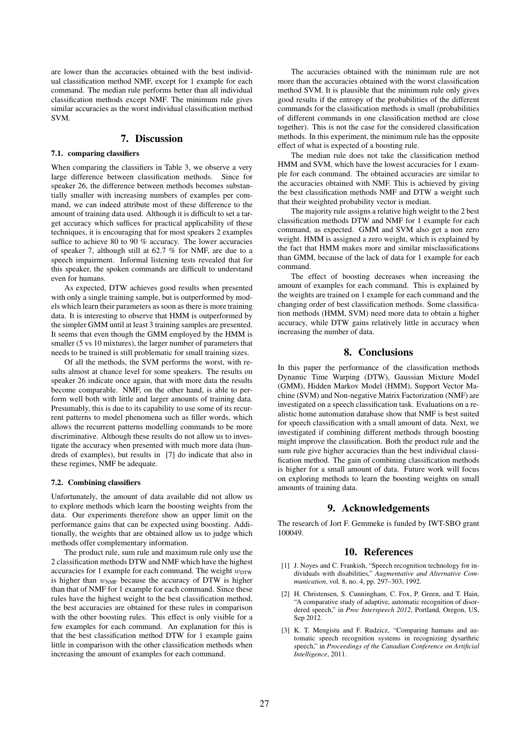are lower than the accuracies obtained with the best individual classification method NMF, except for 1 example for each command. The median rule performs better than all individual classification methods except NMF. The minimum rule gives similar accuracies as the worst individual classification method SVM.

# 7. Discussion

# 7.1. comparing classifiers

When comparing the classifiers in Table 3, we observe a very large difference between classification methods. Since for speaker 26, the difference between methods becomes substantially smaller with increasing numbers of examples per command, we can indeed attribute most of these difference to the amount of training data used. Although it is difficult to set a target accuracy which suffices for practical applicability of these techniques, it is encouraging that for most speakers 2 examples suffice to achieve 80 to 90 % accuracy. The lower accuracies of speaker 7, although still at 62.7 % for NMF, are due to a speech impairment. Informal listening tests revealed that for this speaker, the spoken commands are difficult to understand even for humans.

As expected, DTW achieves good results when presented with only a single training sample, but is outperformed by models which learn their parameters as soon as there is more training data. It is interesting to observe that HMM is outperformed by the simpler GMM until at least 3 training samples are presented. It seems that even though the GMM employed by the HMM is smaller (5 vs 10 mixtures), the larger number of parameters that needs to be trained is still problematic for small training sizes.

Of all the methods, the SVM performs the worst, with results almost at chance level for some speakers. The results on speaker 26 indicate once again, that with more data the results become comparable. NMF, on the other hand, is able to perform well both with little and larger amounts of training data. Presumably, this is due to its capability to use some of its recurrent patterns to model phenomena such as filler words, which allows the recurrent patterns modelling commands to be more discriminative. Although these results do not allow us to investigate the accuracy when presented with much more data (hundreds of examples), but results in [7] do indicate that also in these regimes, NMF be adequate.

#### 7.2. Combining classifiers

Unfortunately, the amount of data available did not allow us to explore methods which learn the boosting weights from the data. Our experiments therefore show an upper limit on the performance gains that can be expected using boosting. Additionally, the weights that are obtained allow us to judge which methods offer complementary information.

The product rule, sum rule and maximum rule only use the 2 classification methods DTW and NMF which have the highest accuracies for 1 example for each command. The weight  $w_{\text{DTW}}$ is higher than  $w_{NMF}$  because the accuracy of DTW is higher than that of NMF for 1 example for each command. Since these rules have the highest weight to the best classification method, the best accuracies are obtained for these rules in comparison with the other boosting rules. This effect is only visible for a few examples for each command. An explanation for this is that the best classification method DTW for 1 example gains little in comparison with the other classification methods when increasing the amount of examples for each command.

The accuracies obtained with the minimum rule are not more than the accuracies obtained with the worst classification method SVM. It is plausible that the minimum rule only gives good results if the entropy of the probabilities of the different commands for the classification methods is small (probabilities of different commands in one classification method are close together). This is not the case for the considered classification methods. In this experiment, the minimum rule has the opposite effect of what is expected of a boosting rule.

The median rule does not take the classification method HMM and SVM, which have the lowest accuracies for 1 example for each command. The obtained accuracies are similar to the accuracies obtained with NMF. This is achieved by giving the best classification methods NMF and DTW a weight such that their weighted probability vector is median.

The majority rule assigns a relative high weight to the 2 best classification methods DTW and NMF for 1 example for each command, as expected. GMM and SVM also get a non zero weight. HMM is assigned a zero weight, which is explained by the fact that HMM makes more and similar misclassifications than GMM, because of the lack of data for 1 example for each command.

The effect of boosting decreases when increasing the amount of examples for each command. This is explained by the weights are trained on 1 example for each command and the changing order of best classification methods. Some classification methods (HMM, SVM) need more data to obtain a higher accuracy, while DTW gains relatively little in accuracy when increasing the number of data.

### 8. Conclusions

In this paper the performance of the classification methods Dynamic Time Warping (DTW), Gaussian Mixture Model (GMM), Hidden Markov Model (HMM), Support Vector Machine (SVM) and Non-negative Matrix Factorization (NMF) are investigated on a speech classification task. Evaluations on a realistic home automation database show that NMF is best suited for speech classification with a small amount of data. Next, we investigated if combining different methods through boosting might improve the classification. Both the product rule and the sum rule give higher accuracies than the best individual classification method. The gain of combining classification methods is higher for a small amount of data. Future work will focus on exploring methods to learn the boosting weights on small amounts of training data.

### 9. Acknowledgements

The research of Jort F. Gemmeke is funded by IWT-SBO grant 100049.

### 10. References

- [1] J. Noyes and C. Frankish, "Speech recognition technology for individuals with disabilities," *Augmentative and Alternative Communication*, vol. 8, no. 4, pp. 297–303, 1992.
- [2] H. Christensen, S. Cunningham, C. Fox, P. Green, and T. Hain, "A comparative study of adaptive, automatic recognition of disordered speech," in *Proc Interspeech 2012*, Portland, Oregon, US, Sep 2012.
- [3] K. T. Mengistu and F. Rudzicz, "Comparing humans and automatic speech recognition systems in recognizing dysarthric speech," in *Proceedings of the Canadian Conference on Artificial Intelligence*, 2011.